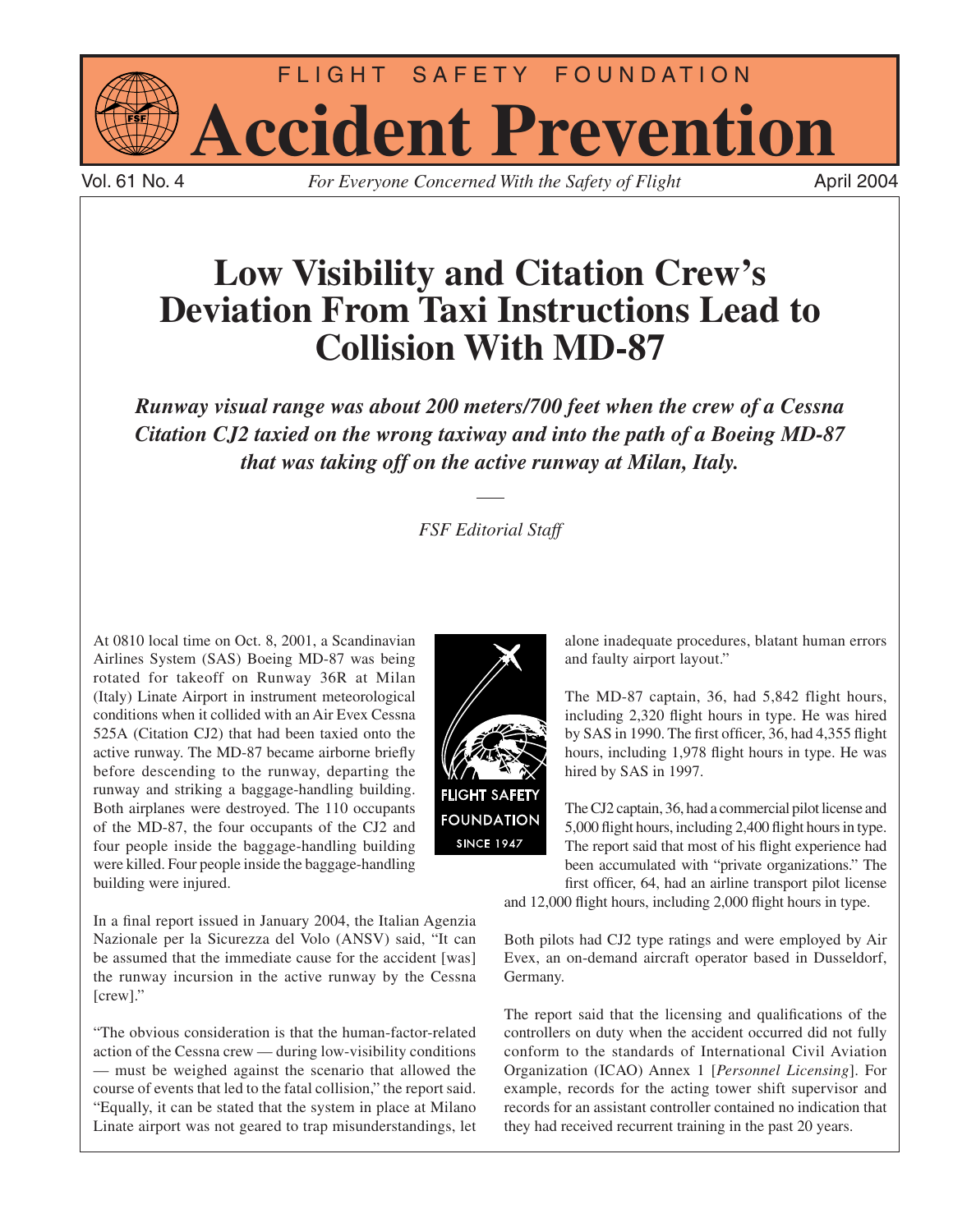

Vol. 61 No. 4 *For Everyone Concerned With the Safety of Flight* 

# **Low Visibility and Citation Crew's Deviation From Taxi Instructions Lead to Collision With MD-87**

*Runway visual range was about 200 meters/700 feet when the crew of a Cessna Citation CJ2 taxied on the wrong taxiway and into the path of a Boeing MD-87 that was taking off on the active runway at Milan, Italy.*

# *FSF Editorial Staff*

At 0810 local time on Oct. 8, 2001, a Scandinavian Airlines System (SAS) Boeing MD-87 was being rotated for takeoff on Runway 36R at Milan (Italy) Linate Airport in instrument meteorological conditions when it collided with an Air Evex Cessna 525A (Citation CJ2) that had been taxied onto the active runway. The MD-87 became airborne briefly before descending to the runway, departing the runway and striking a baggage-handling building. Both airplanes were destroyed. The 110 occupants of the MD-87, the four occupants of the CJ2 and four people inside the baggage-handling building were killed. Four people inside the baggage-handling building were injured.

In a final report issued in January 2004, the Italian Agenzia Nazionale per la Sicurezza del Volo (ANSV) said, "It can be assumed that the immediate cause for the accident [was] the runway incursion in the active runway by the Cessna [crew]."

"The obvious consideration is that the human-factor-related action of the Cessna crew — during low-visibility conditions — must be weighed against the scenario that allowed the course of events that led to the fatal collision," the report said. "Equally, it can be stated that the system in place at Milano Linate airport was not geared to trap misunderstandings, let



alone inadequate procedures, blatant human errors and faulty airport layout."

The MD-87 captain, 36, had 5,842 flight hours, including 2,320 flight hours in type. He was hired by SAS in 1990. The first officer, 36, had 4,355 flight hours, including 1,978 flight hours in type. He was hired by SAS in 1997.

The CJ2 captain, 36, had a commercial pilot license and 5,000 flight hours, including 2,400 flight hours in type. The report said that most of his flight experience had been accumulated with "private organizations." The first officer, 64, had an airline transport pilot license

and 12,000 flight hours, including 2,000 flight hours in type.

Both pilots had CJ2 type ratings and were employed by Air Evex, an on-demand aircraft operator based in Dusseldorf, Germany.

The report said that the licensing and qualifications of the controllers on duty when the accident occurred did not fully conform to the standards of International Civil Aviation Organization (ICAO) Annex 1 [*Personnel Licensing*]. For example, records for the acting tower shift supervisor and records for an assistant controller contained no indication that they had received recurrent training in the past 20 years.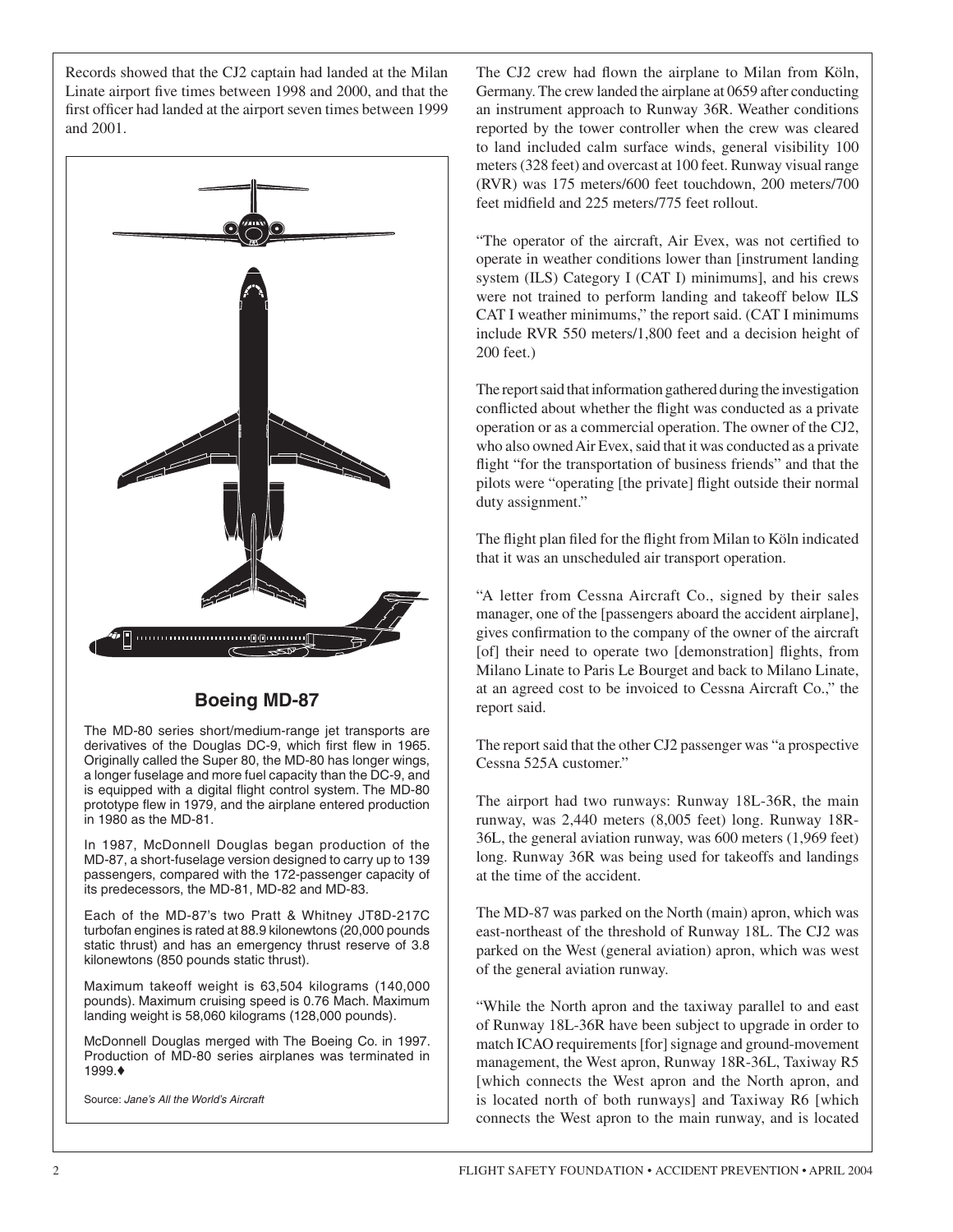Records showed that the CJ2 captain had landed at the Milan Linate airport five times between 1998 and 2000, and that the first officer had landed at the airport seven times between 1999 and 2001.



## **Boeing MD-87**

The MD-80 series short/medium-range jet transports are derivatives of the Douglas DC-9, which first flew in 1965. Originally called the Super 80, the MD-80 has longer wings, a longer fuselage and more fuel capacity than the DC-9, and is equipped with a digital flight control system. The MD-80 prototype flew in 1979, and the airplane entered production in 1980 as the MD-81.

In 1987, McDonnell Douglas began production of the MD-87, a short-fuselage version designed to carry up to 139 passengers, compared with the 172-passenger capacity of its predecessors, the MD-81, MD-82 and MD-83.

Each of the MD-87's two Pratt & Whitney JT8D-217C turbofan engines is rated at 88.9 kilonewtons (20,000 pounds static thrust) and has an emergency thrust reserve of 3.8 kilonewtons (850 pounds static thrust).

Maximum takeoff weight is 63,504 kilograms (140,000 pounds). Maximum cruising speed is 0.76 Mach. Maximum landing weight is 58,060 kilograms (128,000 pounds).

McDonnell Douglas merged with The Boeing Co. in 1997. Production of MD-80 series airplanes was terminated in 1999.♦

Source: *Jane's All the World's Aircraft*

The CJ2 crew had flown the airplane to Milan from Köln, Germany. The crew landed the airplane at 0659 after conducting an instrument approach to Runway 36R. Weather conditions reported by the tower controller when the crew was cleared to land included calm surface winds, general visibility 100 meters (328 feet) and overcast at 100 feet. Runway visual range (RVR) was 175 meters/600 feet touchdown, 200 meters/700 feet midfield and 225 meters/775 feet rollout.

"The operator of the aircraft, Air Evex, was not certified to operate in weather conditions lower than [instrument landing system (ILS) Category I (CAT I) minimums], and his crews were not trained to perform landing and takeoff below ILS CAT I weather minimums," the report said. (CAT I minimums include RVR 550 meters/1,800 feet and a decision height of 200 feet.)

The report said that information gathered during the investigation conflicted about whether the flight was conducted as a private operation or as a commercial operation. The owner of the CJ2, who also owned Air Evex, said that it was conducted as a private flight "for the transportation of business friends" and that the pilots were "operating [the private] flight outside their normal duty assignment."

The flight plan filed for the flight from Milan to Köln indicated that it was an unscheduled air transport operation.

"A letter from Cessna Aircraft Co., signed by their sales manager, one of the [passengers aboard the accident airplane], gives confirmation to the company of the owner of the aircraft [of] their need to operate two [demonstration] flights, from Milano Linate to Paris Le Bourget and back to Milano Linate, at an agreed cost to be invoiced to Cessna Aircraft Co.," the report said.

The report said that the other CJ2 passenger was "a prospective Cessna 525A customer."

The airport had two runways: Runway 18L-36R, the main runway, was 2,440 meters (8,005 feet) long. Runway 18R-36L, the general aviation runway, was 600 meters (1,969 feet) long. Runway 36R was being used for takeoffs and landings at the time of the accident.

The MD-87 was parked on the North (main) apron, which was east-northeast of the threshold of Runway 18L. The CJ2 was parked on the West (general aviation) apron, which was west of the general aviation runway.

"While the North apron and the taxiway parallel to and east of Runway 18L-36R have been subject to upgrade in order to match ICAO requirements [for] signage and ground-movement management, the West apron, Runway 18R-36L, Taxiway R5 [which connects the West apron and the North apron, and is located north of both runways] and Taxiway R6 [which connects the West apron to the main runway, and is located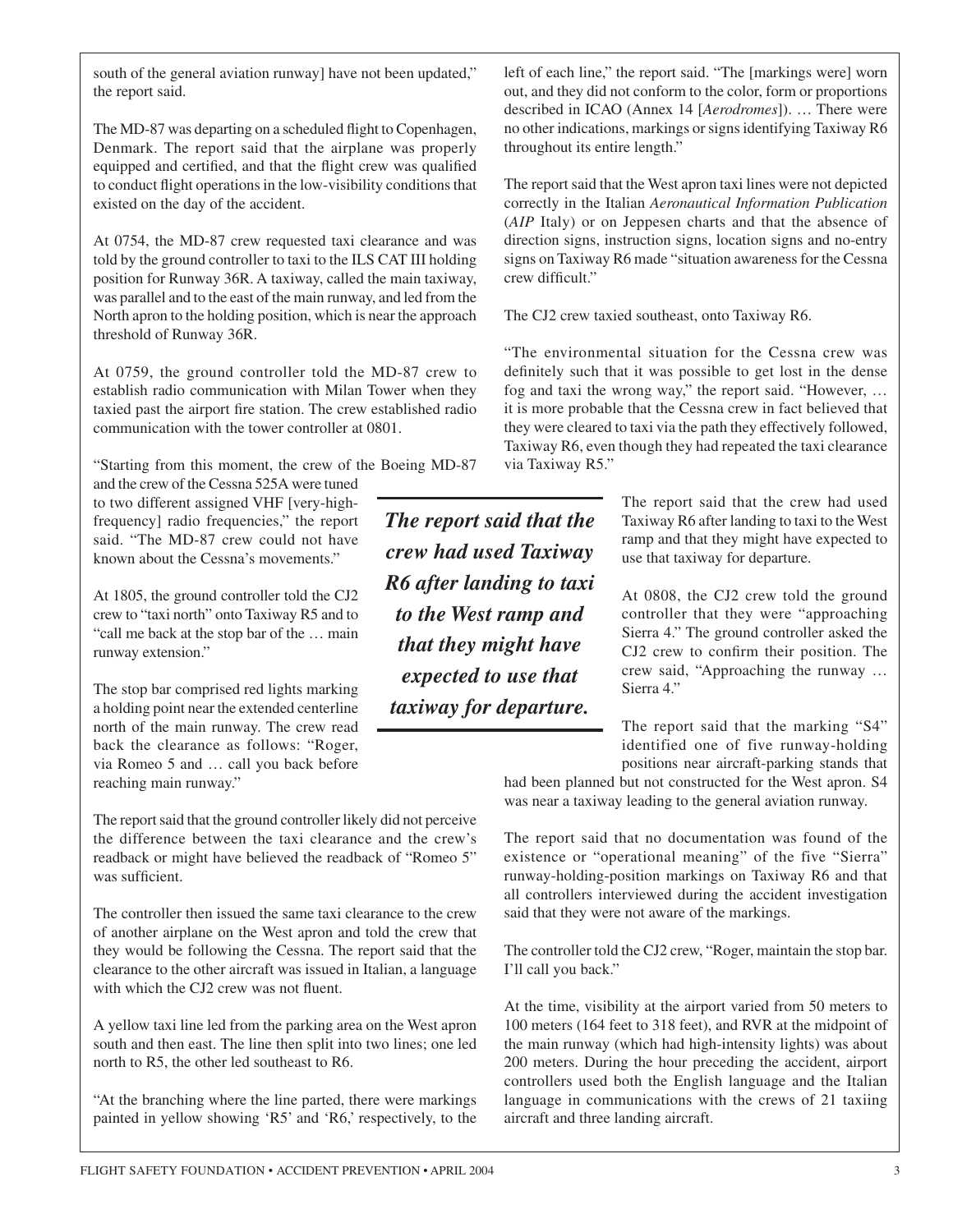south of the general aviation runway] have not been updated," the report said.

The MD-87 was departing on a scheduled flight to Copenhagen, Denmark. The report said that the airplane was properly equipped and certified, and that the flight crew was qualified to conduct flight operations in the low-visibility conditions that existed on the day of the accident.

At 0754, the MD-87 crew requested taxi clearance and was told by the ground controller to taxi to the ILS CAT III holding position for Runway 36R. A taxiway, called the main taxiway, was parallel and to the east of the main runway, and led from the North apron to the holding position, which is near the approach threshold of Runway 36R.

At 0759, the ground controller told the MD-87 crew to establish radio communication with Milan Tower when they taxied past the airport fire station. The crew established radio communication with the tower controller at 0801.

"Starting from this moment, the crew of the Boeing MD-87

and the crew of the Cessna 525A were tuned to two different assigned VHF [very-highfrequency] radio frequencies," the report said. "The MD-87 crew could not have known about the Cessna's movements."

At 1805, the ground controller told the CJ2 crew to "taxi north" onto Taxiway R5 and to "call me back at the stop bar of the … main runway extension."

The stop bar comprised red lights marking a holding point near the extended centerline north of the main runway. The crew read back the clearance as follows: "Roger, via Romeo 5 and … call you back before reaching main runway."

The report said that the ground controller likely did not perceive the difference between the taxi clearance and the crew's readback or might have believed the readback of "Romeo 5" was sufficient.

The controller then issued the same taxi clearance to the crew of another airplane on the West apron and told the crew that they would be following the Cessna. The report said that the clearance to the other aircraft was issued in Italian, a language with which the CJ2 crew was not fluent.

A yellow taxi line led from the parking area on the West apron south and then east. The line then split into two lines; one led north to R5, the other led southeast to R6.

"At the branching where the line parted, there were markings painted in yellow showing 'R5' and 'R6,' respectively, to the left of each line," the report said. "The [markings were] worn out, and they did not conform to the color, form or proportions described in ICAO (Annex 14 [*Aerodromes*]). … There were no other indications, markings or signs identifying Taxiway R6 throughout its entire length."

The report said that the West apron taxi lines were not depicted correctly in the Italian *Aeronautical Information Publication* (*AIP* Italy) or on Jeppesen charts and that the absence of direction signs, instruction signs, location signs and no-entry signs on Taxiway R6 made "situation awareness for the Cessna crew difficult."

The CJ2 crew taxied southeast, onto Taxiway R6.

"The environmental situation for the Cessna crew was definitely such that it was possible to get lost in the dense fog and taxi the wrong way," the report said. "However, … it is more probable that the Cessna crew in fact believed that they were cleared to taxi via the path they effectively followed, Taxiway R6, even though they had repeated the taxi clearance via Taxiway R5."

> The report said that the crew had used Taxiway R6 after landing to taxi to the West ramp and that they might have expected to use that taxiway for departure.

> At 0808, the CJ2 crew told the ground controller that they were "approaching Sierra 4." The ground controller asked the CJ2 crew to confirm their position. The crew said, "Approaching the runway … Sierra 4."

> The report said that the marking "S4" identified one of five runway-holding positions near aircraft-parking stands that

had been planned but not constructed for the West apron. S4 was near a taxiway leading to the general aviation runway.

The report said that no documentation was found of the existence or "operational meaning" of the five "Sierra" runway-holding-position markings on Taxiway R6 and that all controllers interviewed during the accident investigation said that they were not aware of the markings.

The controller told the CJ2 crew, "Roger, maintain the stop bar. I'll call you back."

At the time, visibility at the airport varied from 50 meters to 100 meters (164 feet to 318 feet), and RVR at the midpoint of the main runway (which had high-intensity lights) was about 200 meters. During the hour preceding the accident, airport controllers used both the English language and the Italian language in communications with the crews of 21 taxiing aircraft and three landing aircraft.

*The report said that the crew had used Taxiway R6 after landing to taxi to the West ramp and that they might have expected to use that taxiway for departure.*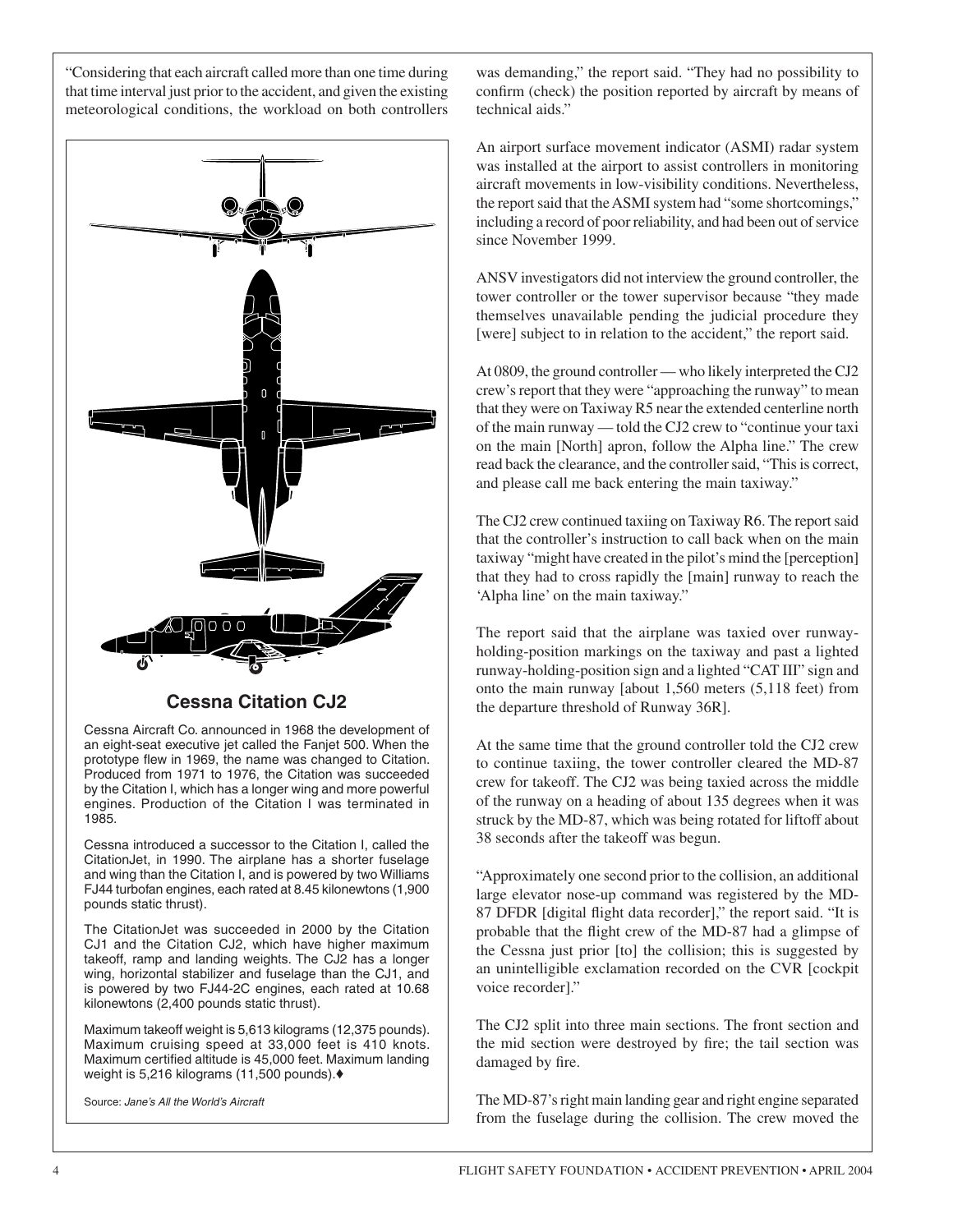"Considering that each aircraft called more than one time during that time interval just prior to the accident, and given the existing meteorological conditions, the workload on both controllers



### **Cessna Citation CJ2**

Cessna Aircraft Co. announced in 1968 the development of an eight-seat executive jet called the Fanjet 500. When the prototype flew in 1969, the name was changed to Citation. Produced from 1971 to 1976, the Citation was succeeded by the Citation I, which has a longer wing and more powerful engines. Production of the Citation I was terminated in 1985.

Cessna introduced a successor to the Citation I, called the CitationJet, in 1990. The airplane has a shorter fuselage and wing than the Citation I, and is powered by two Williams FJ44 turbofan engines, each rated at 8.45 kilonewtons (1,900 pounds static thrust).

The CitationJet was succeeded in 2000 by the Citation CJ1 and the Citation CJ2, which have higher maximum takeoff, ramp and landing weights. The CJ2 has a longer wing, horizontal stabilizer and fuselage than the CJ1, and is powered by two FJ44-2C engines, each rated at 10.68 kilonewtons (2,400 pounds static thrust).

Maximum takeoff weight is 5,613 kilograms (12,375 pounds). Maximum cruising speed at 33,000 feet is 410 knots. Maximum certified altitude is 45,000 feet. Maximum landing weight is 5,216 kilograms (11,500 pounds).♦

Source: *Jane's All the World's Aircraft*

was demanding," the report said. "They had no possibility to confirm (check) the position reported by aircraft by means of technical aids."

An airport surface movement indicator (ASMI) radar system was installed at the airport to assist controllers in monitoring aircraft movements in low-visibility conditions. Nevertheless, the report said that the ASMI system had "some shortcomings," including a record of poor reliability, and had been out of service since November 1999.

ANSV investigators did not interview the ground controller, the tower controller or the tower supervisor because "they made themselves unavailable pending the judicial procedure they [were] subject to in relation to the accident," the report said.

At 0809, the ground controller — who likely interpreted the CJ2 crew's report that they were "approaching the runway" to mean that they were on Taxiway R5 near the extended centerline north of the main runway — told the CJ2 crew to "continue your taxi on the main [North] apron, follow the Alpha line." The crew read back the clearance, and the controller said, "This is correct, and please call me back entering the main taxiway."

The CJ2 crew continued taxiing on Taxiway R6. The report said that the controller's instruction to call back when on the main taxiway "might have created in the pilot's mind the [perception] that they had to cross rapidly the [main] runway to reach the 'Alpha line' on the main taxiway."

The report said that the airplane was taxied over runwayholding-position markings on the taxiway and past a lighted runway-holding-position sign and a lighted "CAT III" sign and onto the main runway [about 1,560 meters (5,118 feet) from the departure threshold of Runway 36R].

At the same time that the ground controller told the CJ2 crew to continue taxiing, the tower controller cleared the MD-87 crew for takeoff. The CJ2 was being taxied across the middle of the runway on a heading of about 135 degrees when it was struck by the MD-87, which was being rotated for liftoff about 38 seconds after the takeoff was begun.

"Approximately one second prior to the collision, an additional large elevator nose-up command was registered by the MD-87 DFDR [digital flight data recorder]," the report said. "It is probable that the flight crew of the MD-87 had a glimpse of the Cessna just prior [to] the collision; this is suggested by an unintelligible exclamation recorded on the CVR [cockpit voice recorder]."

The CJ2 split into three main sections. The front section and the mid section were destroyed by fire; the tail section was damaged by fire.

The MD-87's right main landing gear and right engine separated from the fuselage during the collision. The crew moved the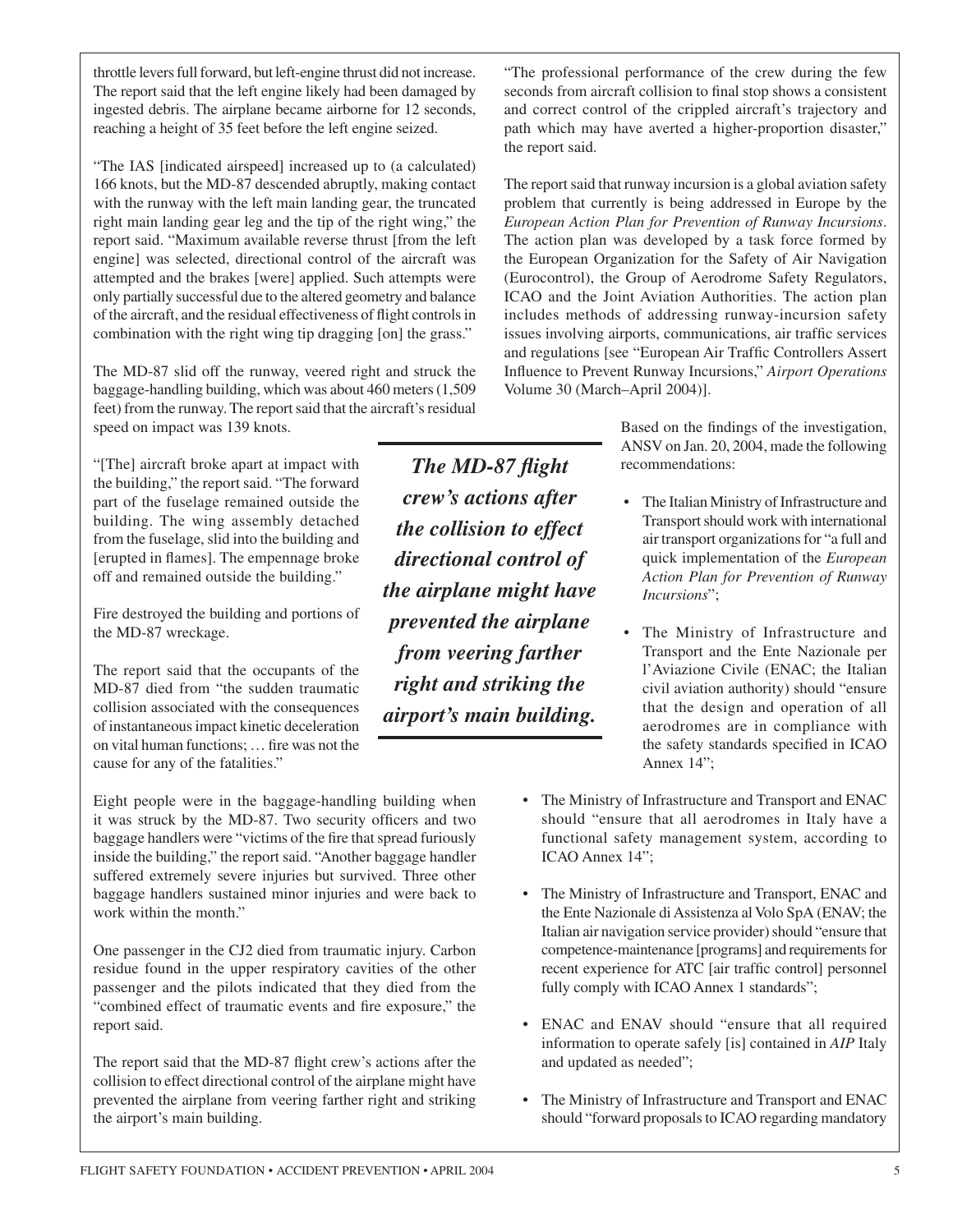throttle levers full forward, but left-engine thrust did not increase. The report said that the left engine likely had been damaged by ingested debris. The airplane became airborne for 12 seconds, reaching a height of 35 feet before the left engine seized.

"The IAS [indicated airspeed] increased up to (a calculated) 166 knots, but the MD-87 descended abruptly, making contact with the runway with the left main landing gear, the truncated right main landing gear leg and the tip of the right wing," the report said. "Maximum available reverse thrust [from the left engine] was selected, directional control of the aircraft was attempted and the brakes [were] applied. Such attempts were only partially successful due to the altered geometry and balance of the aircraft, and the residual effectiveness of flight controls in combination with the right wing tip dragging [on] the grass."

The MD-87 slid off the runway, veered right and struck the baggage-handling building, which was about 460 meters (1,509 feet) from the runway. The report said that the aircraft's residual speed on impact was 139 knots.

"[The] aircraft broke apart at impact with the building," the report said. "The forward part of the fuselage remained outside the building. The wing assembly detached from the fuselage, slid into the building and [erupted in flames]. The empennage broke off and remained outside the building."

Fire destroyed the building and portions of the MD-87 wreckage.

The report said that the occupants of the MD-87 died from "the sudden traumatic collision associated with the consequences of instantaneous impact kinetic deceleration on vital human functions; … fire was not the cause for any of the fatalities."

Eight people were in the baggage-handling building when it was struck by the MD-87. Two security officers and two baggage handlers were "victims of the fire that spread furiously inside the building," the report said. "Another baggage handler suffered extremely severe injuries but survived. Three other baggage handlers sustained minor injuries and were back to work within the month."

One passenger in the CJ2 died from traumatic injury. Carbon residue found in the upper respiratory cavities of the other passenger and the pilots indicated that they died from the "combined effect of traumatic events and fire exposure," the report said.

The report said that the MD-87 flight crew's actions after the collision to effect directional control of the airplane might have prevented the airplane from veering farther right and striking the airport's main building.

*The MD-87 flight crew's actions after the collision to effect directional control of the airplane might have prevented the airplane from veering farther right and striking the airport's main building.*

"The professional performance of the crew during the few seconds from aircraft collision to final stop shows a consistent and correct control of the crippled aircraft's trajectory and path which may have averted a higher-proportion disaster," the report said.

The report said that runway incursion is a global aviation safety problem that currently is being addressed in Europe by the *European Action Plan for Prevention of Runway Incursions*. The action plan was developed by a task force formed by the European Organization for the Safety of Air Navigation (Eurocontrol), the Group of Aerodrome Safety Regulators, ICAO and the Joint Aviation Authorities. The action plan includes methods of addressing runway-incursion safety issues involving airports, communications, air traffic services and regulations [see "European Air Traffic Controllers Assert Influence to Prevent Runway Incursions," *Airport Operations* Volume 30 (March–April 2004)].

> Based on the findings of the investigation, ANSV on Jan. 20, 2004, made the following recommendations:

- The Italian Ministry of Infrastructure and Transport should work with international air transport organizations for "a full and quick implementation of the *European Action Plan for Prevention of Runway Incursions*";
- The Ministry of Infrastructure and Transport and the Ente Nazionale per l'Aviazione Civile (ENAC; the Italian civil aviation authority) should "ensure that the design and operation of all aerodromes are in compliance with the safety standards specified in ICAO Annex 14";
- The Ministry of Infrastructure and Transport and ENAC should "ensure that all aerodromes in Italy have a functional safety management system, according to ICAO Annex 14";
- The Ministry of Infrastructure and Transport, ENAC and the Ente Nazionale di Assistenza al Volo SpA (ENAV; the Italian air navigation service provider) should "ensure that competence-maintenance [programs] and requirements for recent experience for ATC [air traffic control] personnel fully comply with ICAO Annex 1 standards";
- ENAC and ENAV should "ensure that all required information to operate safely [is] contained in *AIP* Italy and updated as needed";
- The Ministry of Infrastructure and Transport and ENAC should "forward proposals to ICAO regarding mandatory